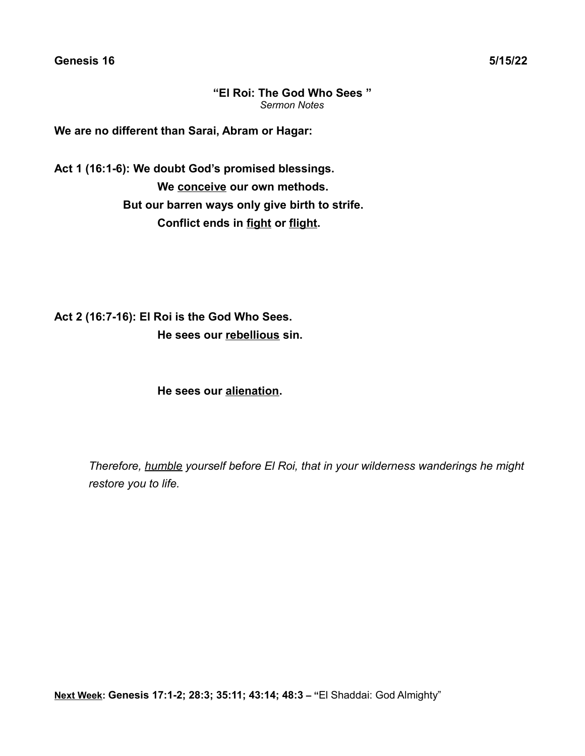**Genesis 16 5/15/22**

**"El Roi: The God Who Sees "** *Sermon Notes*

**We are no different than Sarai, Abram or Hagar:**

**Act 1 (16:1-6): We doubt God's promised blessings. We conceive our own methods. But our barren ways only give birth to strife. Conflict ends in fight or flight.**

**Act 2 (16:7-16): El Roi is the God Who Sees. He sees our rebellious sin.**

**He sees our alienation.**

*Therefore, humble yourself before El Roi, that in your wilderness wanderings he might restore you to life.*

**Next Week: Genesis 17:1-2; 28:3; 35:11; 43:14; 48:3 – "**El Shaddai: God Almighty"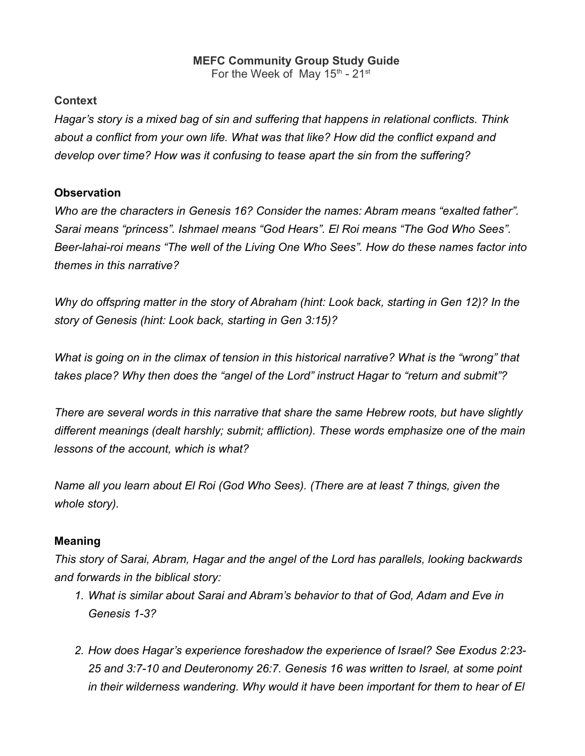# **MEFC Community Group Study Guide**

For the Week of May  $15^{\text{th}}$  -  $21^{\text{st}}$ 

#### **Context**

*Hagar's story is a mixed bag of sin and suffering that happens in relational conflicts. Think about a conflict from your own life. What was that like? How did the conflict expand and develop over time? How was it confusing to tease apart the sin from the suffering?*

## **Observation**

*Who are the characters in Genesis 16? Consider the names: Abram means "exalted father". Sarai means "princess". Ishmael means "God Hears". El Roi means "The God Who Sees". Beer-lahai-roi means "The well of the Living One Who Sees". How do these names factor into themes in this narrative?*

*Why do offspring matter in the story of Abraham (hint: Look back, starting in Gen 12)? In the story of Genesis (hint: Look back, starting in Gen 3:15)?*

*What is going on in the climax of tension in this historical narrative? What is the "wrong" that takes place? Why then does the "angel of the Lord" instruct Hagar to "return and submit"?*

*There are several words in this narrative that share the same Hebrew roots, but have slightly different meanings (dealt harshly; submit; affliction). These words emphasize one of the main lessons of the account, which is what?*

*Name all you learn about El Roi (God Who Sees). (There are at least 7 things, given the whole story).*

## **Meaning**

*This story of Sarai, Abram, Hagar and the angel of the Lord has parallels, looking backwards and forwards in the biblical story:*

- *1. What is similar about Sarai and Abram's behavior to that of God, Adam and Eve in Genesis 1-3?*
- *2. How does Hagar's experience foreshadow the experience of Israel? See Exodus 2:23- 25 and 3:7-10 and Deuteronomy 26:7. Genesis 16 was written to Israel, at some point in their wilderness wandering. Why would it have been important for them to hear of El*